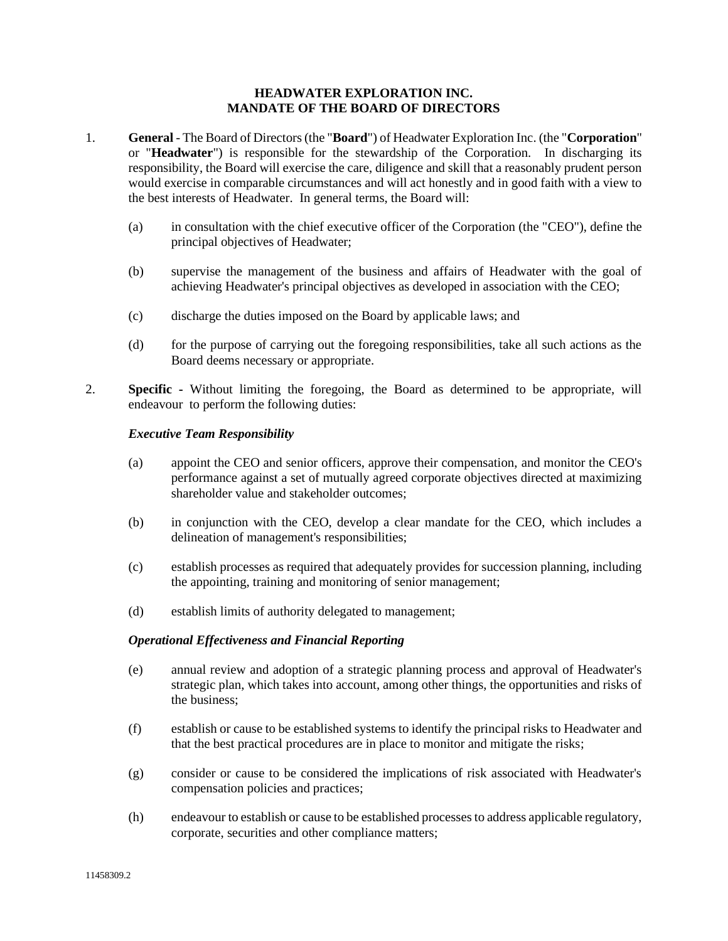## **HEADWATER EXPLORATION INC. MANDATE OF THE BOARD OF DIRECTORS**

- 1. **General** The Board of Directors (the "**Board**") of Headwater Exploration Inc. (the "**Corporation**" or "**Headwater**") is responsible for the stewardship of the Corporation. In discharging its responsibility, the Board will exercise the care, diligence and skill that a reasonably prudent person would exercise in comparable circumstances and will act honestly and in good faith with a view to the best interests of Headwater. In general terms, the Board will:
	- (a) in consultation with the chief executive officer of the Corporation (the "CEO"), define the principal objectives of Headwater;
	- (b) supervise the management of the business and affairs of Headwater with the goal of achieving Headwater's principal objectives as developed in association with the CEO;
	- (c) discharge the duties imposed on the Board by applicable laws; and
	- (d) for the purpose of carrying out the foregoing responsibilities, take all such actions as the Board deems necessary or appropriate.
- 2. **Specific -** Without limiting the foregoing, the Board as determined to be appropriate, will endeavour to perform the following duties:

## *Executive Team Responsibility*

- (a) appoint the CEO and senior officers, approve their compensation, and monitor the CEO's performance against a set of mutually agreed corporate objectives directed at maximizing shareholder value and stakeholder outcomes;
- (b) in conjunction with the CEO, develop a clear mandate for the CEO, which includes a delineation of management's responsibilities;
- (c) establish processes as required that adequately provides for succession planning, including the appointing, training and monitoring of senior management;
- (d) establish limits of authority delegated to management;

# *Operational Effectiveness and Financial Reporting*

- (e) annual review and adoption of a strategic planning process and approval of Headwater's strategic plan, which takes into account, among other things, the opportunities and risks of the business;
- (f) establish or cause to be established systems to identify the principal risks to Headwater and that the best practical procedures are in place to monitor and mitigate the risks;
- (g) consider or cause to be considered the implications of risk associated with Headwater's compensation policies and practices;
- (h) endeavour to establish or cause to be established processes to address applicable regulatory, corporate, securities and other compliance matters;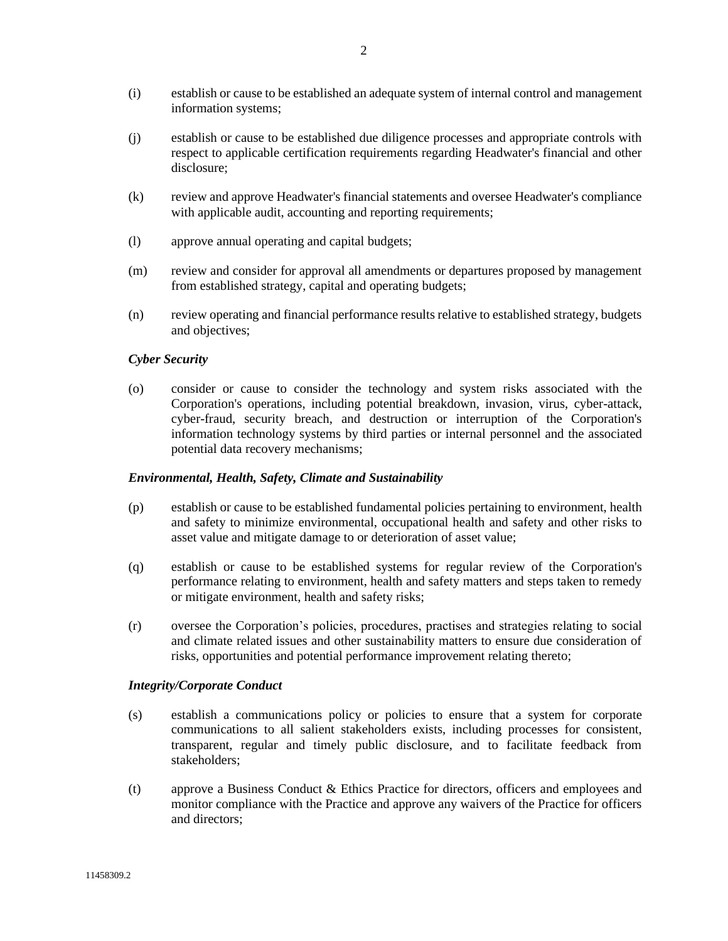- (i) establish or cause to be established an adequate system of internal control and management information systems;
- (j) establish or cause to be established due diligence processes and appropriate controls with respect to applicable certification requirements regarding Headwater's financial and other disclosure;
- (k) review and approve Headwater's financial statements and oversee Headwater's compliance with applicable audit, accounting and reporting requirements;
- (l) approve annual operating and capital budgets;
- (m) review and consider for approval all amendments or departures proposed by management from established strategy, capital and operating budgets;
- (n) review operating and financial performance results relative to established strategy, budgets and objectives;

## *Cyber Security*

(o) consider or cause to consider the technology and system risks associated with the Corporation's operations, including potential breakdown, invasion, virus, cyber-attack, cyber-fraud, security breach, and destruction or interruption of the Corporation's information technology systems by third parties or internal personnel and the associated potential data recovery mechanisms;

#### *Environmental, Health, Safety, Climate and Sustainability*

- (p) establish or cause to be established fundamental policies pertaining to environment, health and safety to minimize environmental, occupational health and safety and other risks to asset value and mitigate damage to or deterioration of asset value;
- (q) establish or cause to be established systems for regular review of the Corporation's performance relating to environment, health and safety matters and steps taken to remedy or mitigate environment, health and safety risks;
- (r) oversee the Corporation's policies, procedures, practises and strategies relating to social and climate related issues and other sustainability matters to ensure due consideration of risks, opportunities and potential performance improvement relating thereto;

#### *Integrity/Corporate Conduct*

- (s) establish a communications policy or policies to ensure that a system for corporate communications to all salient stakeholders exists, including processes for consistent, transparent, regular and timely public disclosure, and to facilitate feedback from stakeholders;
- (t) approve a Business Conduct & Ethics Practice for directors, officers and employees and monitor compliance with the Practice and approve any waivers of the Practice for officers and directors;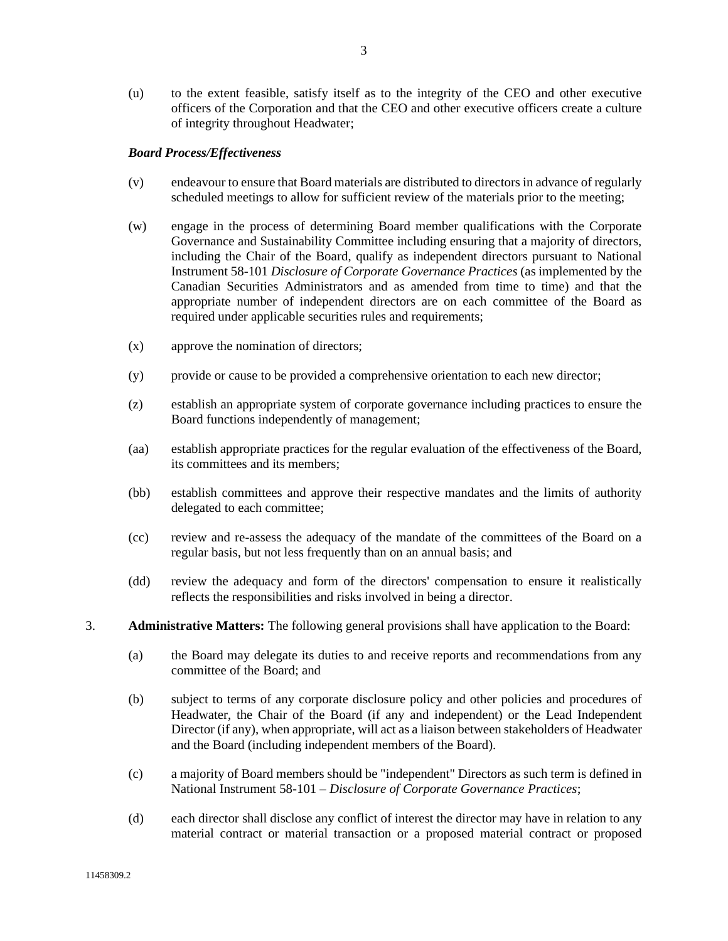(u) to the extent feasible, satisfy itself as to the integrity of the CEO and other executive officers of the Corporation and that the CEO and other executive officers create a culture of integrity throughout Headwater;

## *Board Process/Effectiveness*

- (v) endeavour to ensure that Board materials are distributed to directors in advance of regularly scheduled meetings to allow for sufficient review of the materials prior to the meeting;
- (w) engage in the process of determining Board member qualifications with the Corporate Governance and Sustainability Committee including ensuring that a majority of directors, including the Chair of the Board, qualify as independent directors pursuant to National Instrument 58-101 *Disclosure of Corporate Governance Practices* (as implemented by the Canadian Securities Administrators and as amended from time to time) and that the appropriate number of independent directors are on each committee of the Board as required under applicable securities rules and requirements;
- (x) approve the nomination of directors;
- (y) provide or cause to be provided a comprehensive orientation to each new director;
- (z) establish an appropriate system of corporate governance including practices to ensure the Board functions independently of management;
- (aa) establish appropriate practices for the regular evaluation of the effectiveness of the Board, its committees and its members;
- (bb) establish committees and approve their respective mandates and the limits of authority delegated to each committee;
- (cc) review and re-assess the adequacy of the mandate of the committees of the Board on a regular basis, but not less frequently than on an annual basis; and
- (dd) review the adequacy and form of the directors' compensation to ensure it realistically reflects the responsibilities and risks involved in being a director.
- 3. **Administrative Matters:** The following general provisions shall have application to the Board:
	- (a) the Board may delegate its duties to and receive reports and recommendations from any committee of the Board; and
	- (b) subject to terms of any corporate disclosure policy and other policies and procedures of Headwater, the Chair of the Board (if any and independent) or the Lead Independent Director (if any), when appropriate, will act as a liaison between stakeholders of Headwater and the Board (including independent members of the Board).
	- (c) a majority of Board members should be "independent" Directors as such term is defined in National Instrument 58-101 – *Disclosure of Corporate Governance Practices*;
	- (d) each director shall disclose any conflict of interest the director may have in relation to any material contract or material transaction or a proposed material contract or proposed